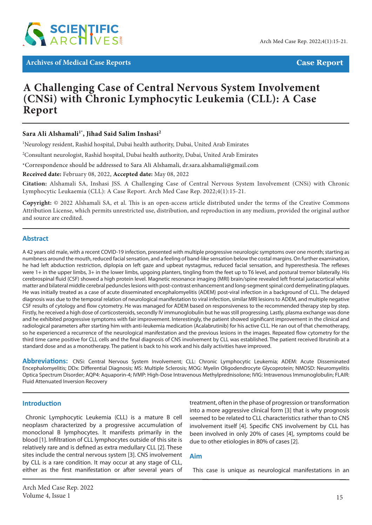

**Archives of Medical Case Reports Case Report**

# **A Challenging Case of Central Nervous System Involvement (CNSi) with Chronic Lymphocytic Leukemia (CLL): A Case Report**

# Sara Ali Alshamali<sup>1\*</sup>, Jihad Said Salim Inshasi<sup>2</sup>

<sup>1</sup>Neurology resident, Rashid hospital, Dubai health authority, Dubai, United Arab Emirates

 $^2$ Consultant neurologist, Rashid hospital, Dubai health authority, Dubai, United Arab Emirates

\*Correspondence should be addressed to Sara Ali Alshamali, dr.sara.alshamali@gmail.com

**Received date:** February 08, 2022, **Accepted date:** May 08, 2022

**Citation:** Alshamali SA, Inshasi JSS. A Challenging Case of Central Nervous System Involvement (CNSi) with Chronic Lymphocytic Leukaemia (CLL): A Case Report. Arch Med Case Rep. 2022;4(1):15-21.

**Copyright:** © 2022 Alshamali SA, et al. This is an open-access article distributed under the terms of the Creative Commons Attribution License, which permits unrestricted use, distribution, and reproduction in any medium, provided the original author and source are credited.

#### **Abstract**

A 42 years old male, with a recent COVID-19 infection, presented with multiple progressive neurologic symptoms over one month; starting as numbness around the mouth, reduced facial sensation, and a feeling of band-like sensation below the costal margins. On further examination, he had left abduction restriction, diplopia on left gaze and upbeat nystagmus, reduced facial sensation, and hyperesthesia. The reflexes were 1+ in the upper limbs, 3+ in the lower limbs, upgoing planters, tingling from the feet up to T6 level, and postural tremor bilaterally. His cerebrospinal fluid (CSF) showed a high protein level. Magnetic resonance imaging (MRI) brain/spine revealed left frontal juxtacortical white matter and bilateral middle cerebral peduncles lesions with post-contrast enhancement and long-segment spinal cord demyelinating plaques. He was initially treated as a case of acute disseminated encephalomyelitis (ADEM) post-viral infection in a background of CLL. The delayed diagnosis was due to the temporal relation of neurological manifestation to viral infection, similar MRI lesions to ADEM, and multiple negative CSF results of cytology and flow cytometry. He was managed for ADEM based on responsiveness to the recommended therapy step by step. Firstly, he received a high dose of corticosteroids, secondly IV immunoglobulin but he was still progressing. Lastly, plasma exchange was done and he exhibited progressive symptoms with fair improvement. Interestingly, the patient showed significant improvement in the clinical and radiological parameters after starting him with anti-leukemia medication (Acalabrutinib) for his active CLL. He ran out of that chemotherapy, so he experienced a recurrence of the neurological manifestation and the previous lesions in the images. Repeated flow cytometry for the third time came positive for CLL cells and the final diagnosis of CNS involvement by CLL was established. The patient received Ibrutinib at a standard dose and as a monotherapy. The patient is back to his work and his daily activities have improved.

**Abbreviations:** CNSi: Central Nervous System Involvement; CLL: Chronic Lymphocytic Leukemia; ADEM: Acute Disseminated Encephalomyelitis; DDx: Differential Diagnosis; MS: Multiple Sclerosis; MOG: Myelin Oligodendrocyte Glycoprotein; NMOSD: Neuromyelitis Optica Spectrum Disorder; AQP4: Aquaporin-4; IVMP: High-Dose Intravenous Methylprednisolone; IVIG: Intravenous Immunoglobulin; FLAIR: Fluid Attenuated Inversion Recovery

#### **Introduction**

Chronic Lymphocytic Leukemia (CLL) is a mature B cell neoplasm characterized by a progressive accumulation of monoclonal B lymphocytes. It manifests primarily in the blood [1]. Infiltration of CLL lymphocytes outside of this site is relatively rare and is defined as extra medullary CLL [2]. These sites include the central nervous system [3]. CNS involvement by CLL is a rare condition. It may occur at any stage of CLL, either as the first manifestation or after several years of treatment, often in the phase of progression or transformation into a more aggressive clinical form [3] that is why prognosis seemed to be related to CLL characteristics rather than to CNS involvement itself [4]. Specific CNS involvement by CLL has been involved in only 20% of cases [4], symptoms could be due to other etiologies in 80% of cases [2].

#### **Aim**

This case is unique as neurological manifestations in an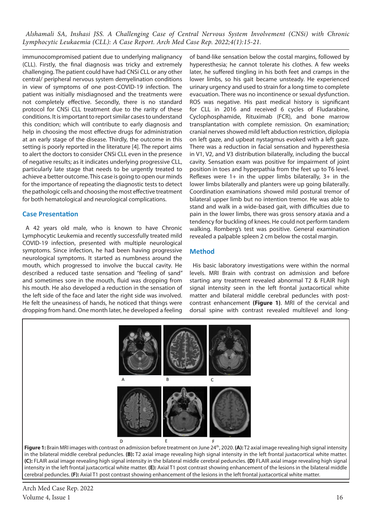immunocompromised patient due to underlying malignancy (CLL). Firstly, the final diagnosis was tricky and extremely challenging. The patient could have had CNSi CLL or any other central/ peripheral nervous system demyelination conditions in view of symptoms of one post-COVID-19 infection. The patient was initially misdiagnosed and the treatments were not completely effective. Secondly, there is no standard protocol for CNSi CLL treatment due to the rarity of these conditions. It is important to report similar cases to understand this condition; which will contribute to early diagnosis and help in choosing the most effective drugs for administration at an early stage of the disease. Thirdly, the outcome in this setting is poorly reported in the literature [4]. The report aims to alert the doctors to consider CNSi CLL even in the presence of negative results; as it indicates underlying progressive CLL, particularly late stage that needs to be urgently treated to achieve a better outcome. This case is going to open our minds for the importance of repeating the diagnostic tests to detect the pathologic cells and choosing the most effective treatment for both hematological and neurological complications.

#### **Case Presentation**

A 42 years old male, who is known to have Chronic Lymphocytic Leukemia and recently successfully treated mild COVID-19 infection, presented with multiple neurological symptoms. Since infection, he had been having progressive neurological symptoms. It started as numbness around the mouth, which progressed to involve the buccal cavity. He described a reduced taste sensation and "feeling of sand" and sometimes sore in the mouth, fluid was dropping from his mouth. He also developed a reduction in the sensation of the left side of the face and later the right side was involved. He felt the uneasiness of hands, he noticed that things were dropping from hand. One month later, he developed a feeling of band-like sensation below the costal margins, followed by hyperesthesia; he cannot tolerate his clothes. A few weeks later, he suffered tingling in his both feet and cramps in the lower limbs, so his gait became unsteady. He experienced urinary urgency and used to strain for a long time to complete evacuation. There was no incontinence or sexual dysfunction. ROS was negative. His past medical history is significant for CLL in 2016 and received 6 cycles of Fludarabine, Cyclophosphamide, Rituximab (FCR), and bone marrow transplantation with complete remission. On examination; cranial nerves showed mild left abduction restriction, diplopia on left gaze, and upbeat nystagmus evoked with a left gaze. There was a reduction in facial sensation and hyperesthesia in V1, V2, and V3 distribution bilaterally, including the buccal cavity. Sensation exam was positive for impairment of joint position in toes and hyperpathia from the feet up to T6 level. Reflexes were  $1+$  in the upper limbs bilaterally,  $3+$  in the lower limbs bilaterally and planters were up going bilaterally. Coordination examinations showed mild postural tremor of bilateral upper limb but no intention tremor. He was able to stand and walk in a wide-based gait, with difficulties due to pain in the lower limbs, there was gross sensory ataxia and a tendency for buckling of knees. He could not perform tandem walking. Romberg's test was positive. General examination revealed a palpable spleen 2 cm below the costal margin.

# **Method**

His basic laboratory investigations were within the normal levels. MRI Brain with contrast on admission and before starting any treatment revealed abnormal T2 & FLAIR high signal intensity seen in the left frontal juxtacortical white matter and bilateral middle cerebral peduncles with postcontrast enhancement **(Figure 1)**. MRI of the cervical and dorsal spine with contrast revealed multilevel and long-



in the bilateral middle cerebral peduncles. **(B):** T2 axial image revealing high signal intensity in the left frontal juxtacortical white matter. **(C):** FLAIR axial image revealing high signal intensity in the bilateral middle cerebral peduncles. **(D)** FLAIR axial image revealing high signal intensity in the left frontal juxtacortical white matter. **(E):** Axial T1 post contrast showing enhancement of the lesions in the bilateral middle cerebral peduncles. **(F):** Axial T1 post contrast showing enhancement of the lesions in the left frontal juxtacortical white matter.

Arch Med Case Rep. 2022 Volume 4, Issue  $1\frac{16}{5}$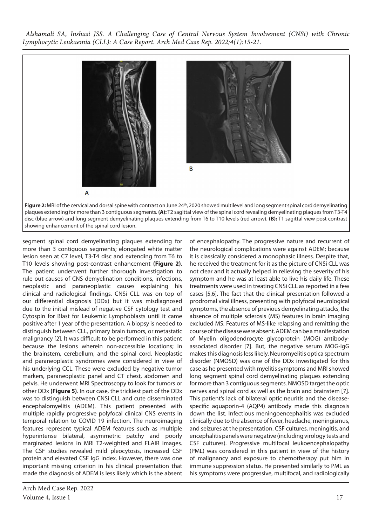

Figure 2: MRI of the cervical and dorsal spine with contrast on June 24<sup>th</sup>, 2020 showed multilevel and long segment spinal cord demyelinating plaques extending for more than 3 contiguous segments. **(A):** T2 sagittal view of the spinal cord revealing demyelinating plaques from T3-T4 disc (blue arrow) and long segment demyelinating plaques extending from T6 to T10 levels (red arrow). **(B):** T1 sagittal view post contrast showing enhancement of the spinal cord lesion.

segment spinal cord demyelinating plaques extending for more than 3 contiguous segments; elongated white matter lesion seen at C7 level, T3-T4 disc and extending from T6 to T10 levels showing post-contrast enhancement **(Figure 2)**. The patient underwent further thorough investigation to rule out causes of CNS demyelination conditions, infections, neoplastic and paraneoplastic causes explaining his clinical and radiological findings. CNSi CLL was on top of our differential diagnosis (DDx) but it was misdiagnosed due to the initial mislead of negative CSF cytology test and Cytospin for Blast for Leukemic Lymphoblasts until it came positive after 1 year of the presentation. A biopsy is needed to distinguish between CLL, primary brain tumors, or metastatic malignancy [2]. It was difficult to be performed in this patient because the lesions wherein non-accessible locations; in the brainstem, cerebellum, and the spinal cord. Neoplastic and paraneoplastic syndromes were considered in view of his underlying CCL. These were excluded by negative tumor markers, paraneoplastic panel and CT chest, abdomen and pelvis. He underwent MRI Spectroscopy to look for tumors or other DDx **(Figure 5)**. In our case, the trickiest part of the DDx was to distinguish between CNSi CLL and cute disseminated encephalomyelitis (ADEM). This patient presented with multiple rapidly progressive polyfocal clinical CNS events in temporal relation to COVID 19 infection. The neuroimaging features represent typical ADEM features such as multiple hyperintense bilateral, asymmetric patchy and poorly marginated lesions in MRI T2-weighted and FLAIR images. The CSF studies revealed mild pleocytosis, increased CSF protein and elevated CSF IgG index. However, there was one important missing criterion in his clinical presentation that made the diagnosis of ADEM is less likely which is the absent

of encephalopathy. The progressive nature and recurrent of the neurological complications were against ADEM; because it is classically considered a monophasic illness. Despite that, he received the treatment for it as the picture of CNSi CLL was not clear and it actually helped in relieving the severity of his symptom and he was at least able to live his daily life. These treatments were used in treating CNSi CLL as reported in a few cases [5,6]. The fact that the clinical presentation followed a prodromal viral illness, presenting with polyfocal neurological symptoms, the absence of previous demyelinating attacks, the absence of multiple sclerosis (MS) features in brain imaging excluded MS. Features of MS-like relapsing and remitting the course of the disease were absent. ADEM can be a manifestation of Myelin oligodendrocyte glycoprotein (MOG) antibodyassociated disorder [7]. But, the negative serum MOG-IgG makes this diagnosis less likely. Neuromyelitis optica spectrum disorder (NMOSD) was one of the DDx investigated for this case as he presented with myelitis symptoms and MRI showed long segment spinal cord demyelinating plaques extending for more than 3 contiguous segments. NMOSD target the optic nerves and spinal cord as well as the brain and brainstem [7]. This patient's lack of bilateral optic neuritis and the diseasespecific aquaporin-4 (AQP4) antibody made this diagnosis down the list. Infectious meningoencephalitis was excluded clinically due to the absence of fever, headache, meningismus, and seizures at the presentation. CSF cultures, meningitis, and encephalitis panels were negative (including virology tests and CSF cultures). Progressive multifocal leukoencephalopathy (PML) was considered in this patient in view of the history of malignancy and exposure to chemotherapy put him in immune suppression status. He presented similarly to PML as his symptoms were progressive, multifocal, and radiologically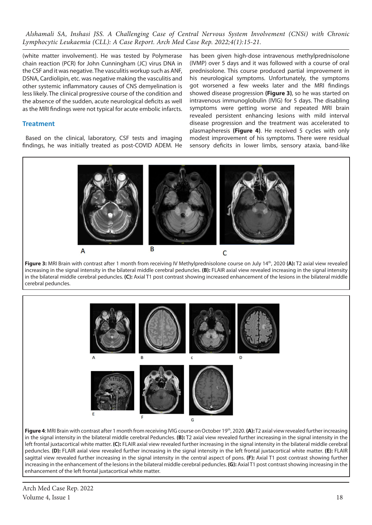(white matter involvement). He was tested by Polymerase chain reaction (PCR) for John Cunningham (JC) virus DNA in the CSF and it was negative. The vasculitis workup such as ANF, DSNA, Cardiolipin, etc. was negative making the vasculitis and other systemic inflammatory causes of CNS demyelination is less likely. The clinical progressive course of the condition and the absence of the sudden, acute neurological deficits as well as the MRI findings were not typical for acute embolic infarcts.

# **Treatment**

Based on the clinical, laboratory, CSF tests and imaging findings, he was initially treated as post-COVID ADEM. He has been given high-dose intravenous methylprednisolone (IVMP) over 5 days and it was followed with a course of oral prednisolone. This course produced partial improvement in his neurological symptoms. Unfortunately, the symptoms got worsened a few weeks later and the MRI findings showed disease progression **(Figure 3)**, so he was started on intravenous immunoglobulin (IVIG) for 5 days. The disabling symptoms were getting worse and repeated MRI brain revealed persistent enhancing lesions with mild interval disease progression and the treatment was accelerated to plasmapheresis **(Figure 4)**. He received 5 cycles with only modest improvement of his symptoms. There were residual sensory deficits in lower limbs, sensory ataxia, band-like



**Figure 3:** MRI Brain with contrast after 1 month from receiving IV Methylprednisolone course on July 14th, 2020 **(A):** T2 axial view revealed increasing in the signal intensity in the bilateral middle cerebral peduncles. **(B):** FLAIR axial view revealed increasing in the signal intensity in the bilateral middle cerebral peduncles. **(C):** Axial T1 post contrast showing increased enhancement of the lesions in the bilateral middle cerebral peduncles.



in the signal intensity in the bilateral middle cerebral Peduncles. **(B):** T2 axial view revealed further increasing in the signal intensity in the left frontal juxtacortical white matter. **(C):** FLAIR axial view revealed further increasing in the signal intensity in the bilateral middle cerebral peduncles. **(D):** FLAIR axial view revealed further increasing in the signal intensity in the left frontal juxtacortical white matter. **(E):** FLAIR sagittal view revealed further increasing in the signal intensity in the central aspect of pons. **(F):** Axial T1 post contrast showing further increasing in the enhancement of the lesions in the bilateral middle cerebral peduncles. **(G):** Axial T1 post contrast showing increasing in the enhancement of the left frontal juxtacortical white matter.

Arch Med Case Rep. 2022 Volume 4, Issue 1 18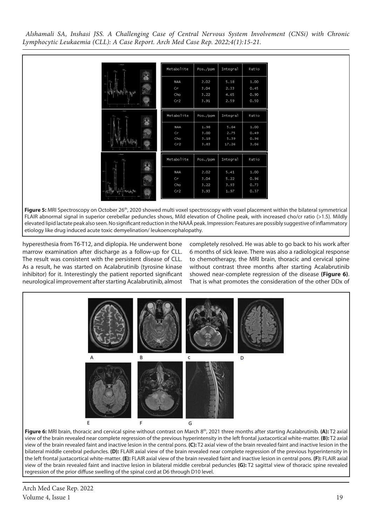| 1.34624<br>M.<br>$^{Cbg}_{CAB5}$<br>$\pm$ .<br>82<br>$42 -$ | Metabolite<br>NAA<br>$\subset r$<br>Cho<br>Cr2 | Pos./ppm<br>2.02<br>3.04<br>3.22<br>3.91 | Integral<br>5.18<br>2.33<br>4.65<br>2.59  | Ratio<br>1.00<br>0.45<br>0.90<br>0.50 |
|-------------------------------------------------------------|------------------------------------------------|------------------------------------------|-------------------------------------------|---------------------------------------|
| steps<br>M.                                                 | Metabolite<br><b>NAA</b><br>Cr<br>Cho<br>Cr2   | Pos./ppm<br>1.98<br>3.00<br>3.18<br>3.83 | Integral<br>5.64<br>2.75<br>5.39<br>17.26 | Ratio<br>1.00<br>0.49<br>0.96<br>3.06 |
| L: Integral<br>150 <sub>11</sub><br>$^{64}_{15,22}$         | Metabolite<br>NAA<br>Cr<br>Cho<br>Cr2          | Pos./ppm<br>2.02<br>3.04<br>3.22<br>3.93 | Integral<br>5.41<br>5.22<br>3.93<br>1.97  | Ratio<br>1.00<br>0.96<br>0.73<br>0.37 |

Figure 5: MRI Spectroscopy on October 26<sup>th</sup>, 2020 showed multi voxel spectroscopy with voxel placement within the bilateral symmetrical FLAIR abnormal signal in superior cerebellar peduncles shows, Mild elevation of Choline peak, with increased cho/cr ratio (>1.5). Mildly elevated lipid lactate peak also seen. No significant reduction in the NAAÂ peak. Impression: Features are possibly suggestive of inflammatory etiology like drug induced acute toxic demyelination/ leukoencephalopathy.

hyperesthesia from T6-T12, and diplopia. He underwent bone marrow examination after discharge as a follow-up for CLL. The result was consistent with the persistent disease of CLL. As a result, he was started on Acalabrutinib (tyrosine kinase inhibitor) for it. Interestingly the patient reported significant neurological improvement after starting Acalabrutinib, almost completely resolved. He was able to go back to his work after 6 months of sick leave. There was also a radiological response to chemotherapy, the MRI brain, thoracic and cervical spine without contrast three months after starting Acalabrutinib showed near-complete regression of the disease **(Figure 6)**. That is what promotes the consideration of the other DDx of



Figure 6: MRI brain, thoracic and cervical spine without contrast on March 8<sup>th</sup>, 2021 three months after starting Acalabrutinib. **(A):** T2 axial view of the brain revealed near complete regression of the previous hyperintensity in the left frontal juxtacortical white-matter. **(B):** T2 axial view of the brain revealed faint and inactive lesion in the central pons. **(C):** T2 axial view of the brain revealed faint and inactive lesion in the bilateral middle cerebral peduncles. **(D):** FLAIR axial view of the brain revealed near complete regression of the previous hyperintensity in the left frontal juxtacortical white-matter. **(E):** FLAIR axial view of the brain revealed faint and inactive lesion in central pons. **(F):** FLAIR axial view of the brain revealed faint and inactive lesion in bilateral middle cerebral peduncles **(G):** T2 sagittal view of thoracic spine revealed regression of the prior diffuse swelling of the spinal cord at D6 through D10 level.

Arch Med Case Rep. 2022 Volume 4, Issue 1  $\blacksquare$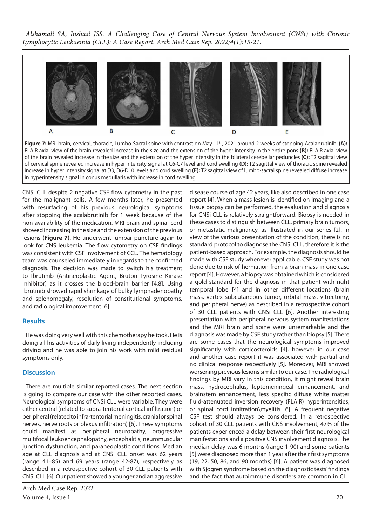

Figure 7: MRI brain, cervical, thoracic, Lumbo-Sacral spine with contrast on May 11<sup>th</sup>, 2021 around 2 weeks of stopping Acalabrutinib. (A): FLAIR axial view of the brain revealed increase in the size and the extension of the hyper intensity in the entire pons **(B):** FLAIR axial view of the brain revealed increase in the size and the extension of the hyper intensity in the bilateral cerebellar peduncles **(C):** T2 sagittal view of cervical spine revealed increase in hyper intensity signal at C6-C7 level and cord swelling **(D):** T2 sagittal view of thoracic spine revealed increase in hyper intensity signal at D3, D6-D10 levels and cord swelling **(E):** T2 sagittal view of lumbo-sacral spine revealed diffuse increase in hyperintensity signal in conus medullaris with increase in cord swelling.

CNSi CLL despite 2 negative CSF flow cytometry in the past for the malignant cells. A few months later, he presented with resurfacing of his previous neurological symptoms after stopping the acalabrutinib for 1 week because of the non-availability of the medication. MRI brain and spinal cord showed increasing in the size and the extension of the previous lesions **(Figure 7)**. He underwent lumbar puncture again to look for CNS leukemia. The flow cytometry on CSF findings was consistent with CSF involvement of CCL. The hematology team was counseled immediately in regards to the confirmed diagnosis. The decision was made to switch his treatment to Ibrutinib (Antineoplastic Agent, Bruton Tyrosine Kinase Inhibitor) as it crosses the blood-brain barrier [4,8]. Using Ibrutinib showed rapid shrinkage of bulky lymphadenopathy and splenomegaly, resolution of constitutional symptoms, and radiological improvement [6].

# **Results**

He was doing very well with this chemotherapy he took. He is doing all his activities of daily living independently including driving and he was able to join his work with mild residual symptoms only.

# **Discussion**

There are multiple similar reported cases. The next section is going to compare our case with the other reported cases. Neurological symptoms of CNSi CLL were variable. They were either central (related to supra-tentorial cortical infiltration) or peripheral (related to infra-tentorial meningitis, cranial or spinal nerves, nerve roots or plexus infiltration) [6]. These symptoms could manifest as peripheral neuropathy, progressive multifocal leukoencephalopathy, encephalitis, neuromuscular junction dysfunction, and paraneoplastic conditions. Median age at CLL diagnosis and at CNSi CLL onset was 62 years (range 41–85) and 69 years (range 42-87), respectively as described in a retrospective cohort of 30 CLL patients with CNSi CLL [6]. Our patient showed a younger and an aggressive

Arch Med Case Rep. 2022 Volume 4, Issue 1 20

disease course of age 42 years, like also described in one case report [4]. When a mass lesion is identified on imaging and a tissue biopsy can be performed, the evaluation and diagnosis for CNSi CLL is relatively straightforward. Biopsy is needed in these cases to distinguish between CLL, primary brain tumors, or metastatic malignancy, as illustrated in our series [2]. In view of the various presentation of the condition, there is no standard protocol to diagnose the CNSi CLL, therefore it is the patient-based approach. For example, the diagnosis should be made with CSF study whenever applicable, CSF study was not done due to risk of herniation from a brain mass in one case report [4]. However, a biopsy was obtained which is considered a gold standard for the diagnosis in that patient with right temporal lobe [4] and in other different locations (brain mass, vertex subcutaneous tumor, orbital mass, vitrectomy, and peripheral nerve) as described in a retrospective cohort of 30 CLL patients with CNSi CLL [6]. Another interesting presentation with peripheral nervous system manifestations and the MRI brain and spine were unremarkable and the diagnosis was made by CSF study rather than biopsy [5]. There are some cases that the neurological symptoms improved significantly with corticosteroids [4], however in our case and another case report it was associated with partial and no clinical response respectively [5]. Moreover, MRI showed worsening previous lesions similar to our case. The radiological findings by MRI vary in this condition, it might reveal brain mass, hydrocephalus, leptomeningeal enhancement, and brainstem enhancement, less specific diffuse white matter fluid-attenuated inversion recovery (FLAIR) hyperintensities, or spinal cord infiltration\myelitis [6]. A frequent negative CSF test should always be considered. In a retrospective cohort of 30 CLL patients with CNS involvement, 47% of the patients experienced a delay between their first neurological manifestations and a positive CNS involvement diagnosis. The median delay was 6 months (range 1-90) and some patients [5] were diagnosed more than 1 year after their first symptoms (19, 22, 50, 86, and 90 months) [6]. A patient was diagnosed with Sjogren syndrome based on the diagnostic tests' findings and the fact that autoimmune disorders are common in CLL